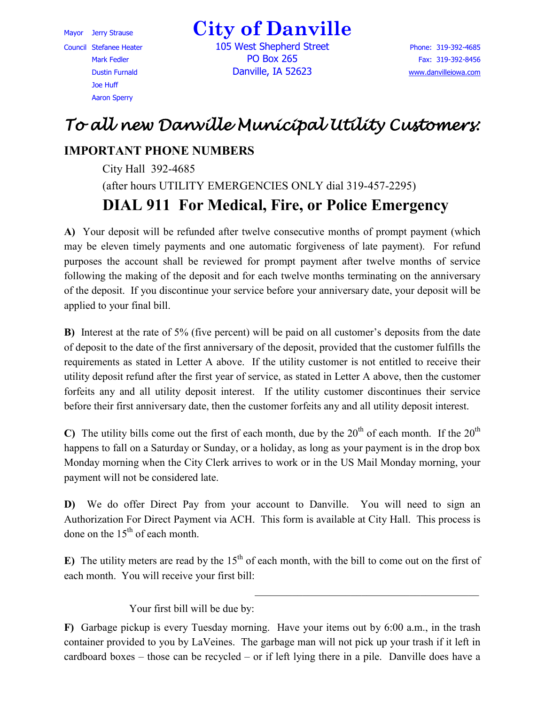Council Stefanee Heater 105 West Shepherd Street Phone: 319-392-4685 Joe Huff Aaron Sperry

Mayor Jerry Strause **City of Danville**

Mark Fedler **PO Box 265** Fax: 319-392-8456 Dustin Furnald Danville, IA 52623 [www.danvilleiowa.com](http://www.danvilleiowa.com/)

## *To all new Danville Municipal Utility Customers:*

## **IMPORTANT PHONE NUMBERS**

City Hall 392-4685 (after hours UTILITY EMERGENCIES ONLY dial 319-457-2295) **DIAL 911 For Medical, Fire, or Police Emergency** 

**A)** Your deposit will be refunded after twelve consecutive months of prompt payment (which may be eleven timely payments and one automatic forgiveness of late payment). For refund purposes the account shall be reviewed for prompt payment after twelve months of service following the making of the deposit and for each twelve months terminating on the anniversary of the deposit. If you discontinue your service before your anniversary date, your deposit will be applied to your final bill.

**B)** Interest at the rate of 5% (five percent) will be paid on all customer's deposits from the date of deposit to the date of the first anniversary of the deposit, provided that the customer fulfills the requirements as stated in Letter A above. If the utility customer is not entitled to receive their utility deposit refund after the first year of service, as stated in Letter A above, then the customer forfeits any and all utility deposit interest. If the utility customer discontinues their service before their first anniversary date, then the customer forfeits any and all utility deposit interest.

**C)** The utility bills come out the first of each month, due by the  $20<sup>th</sup>$  of each month. If the  $20<sup>th</sup>$ happens to fall on a Saturday or Sunday, or a holiday, as long as your payment is in the drop box Monday morning when the City Clerk arrives to work or in the US Mail Monday morning, your payment will not be considered late.

**D)** We do offer Direct Pay from your account to Danville. You will need to sign an Authorization For Direct Payment via ACH. This form is available at City Hall. This process is done on the  $15<sup>th</sup>$  of each month.

**E)** The utility meters are read by the  $15<sup>th</sup>$  of each month, with the bill to come out on the first of each month. You will receive your first bill:

Your first bill will be due by:

**F)** Garbage pickup is every Tuesday morning. Have your items out by 6:00 a.m., in the trash container provided to you by LaVeines. The garbage man will not pick up your trash if it left in cardboard boxes – those can be recycled – or if left lying there in a pile. Danville does have a